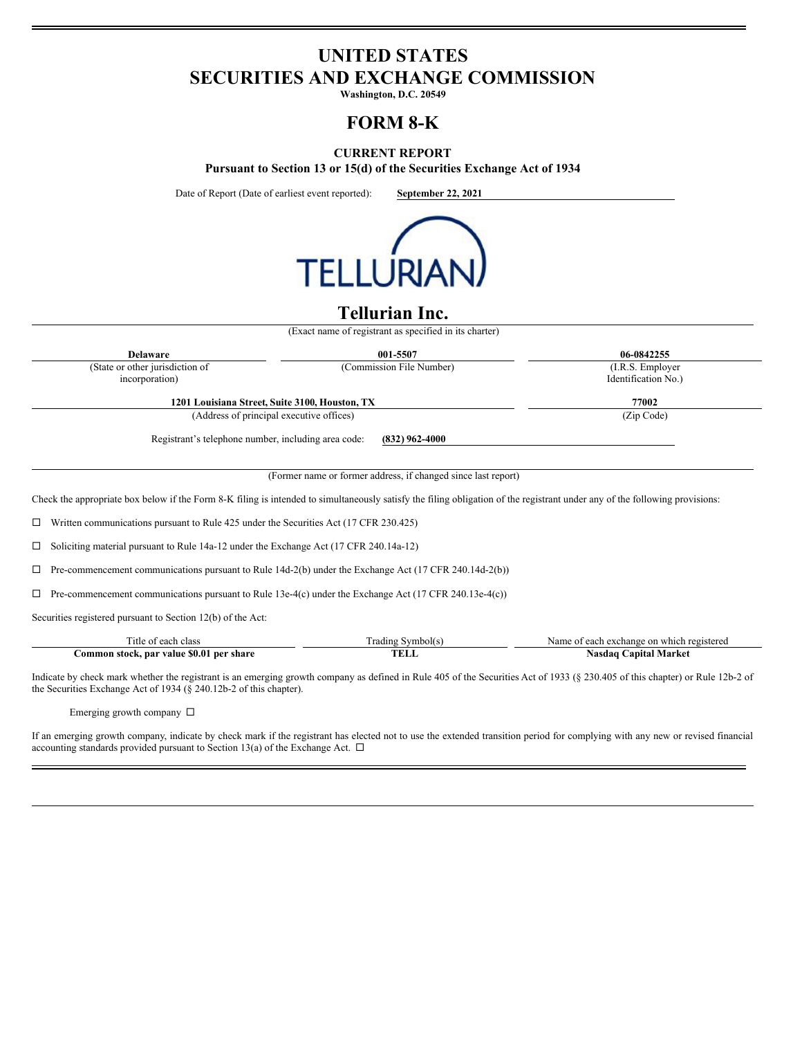# **UNITED STATES SECURITIES AND EXCHANGE COMMISSION**

**Washington, D.C. 20549**

## **FORM 8-K**

## **CURRENT REPORT**

**Pursuant to Section 13 or 15(d) of the Securities Exchange Act of 1934**

Date of Report (Date of earliest event reported): **September 22, 2021**



## **Tellurian Inc.**

(Exact name of registrant as specified in its charter)

| <b>Delaware</b>                                                                                        | 001-5507                                                                                                                                                                    | 06-0842255                              |
|--------------------------------------------------------------------------------------------------------|-----------------------------------------------------------------------------------------------------------------------------------------------------------------------------|-----------------------------------------|
| (State or other jurisdiction of<br>incorporation)                                                      | (Commission File Number)                                                                                                                                                    | (I.R.S. Employer<br>Identification No.) |
| 1201 Louisiana Street, Suite 3100, Houston, TX                                                         |                                                                                                                                                                             | 77002                                   |
| (Address of principal executive offices)                                                               |                                                                                                                                                                             | (Zip Code)                              |
| Registrant's telephone number, including area code:                                                    | $(832)$ 962-4000                                                                                                                                                            |                                         |
|                                                                                                        |                                                                                                                                                                             |                                         |
|                                                                                                        | (Former name or former address, if changed since last report)                                                                                                               |                                         |
|                                                                                                        | Check the appropriate box below if the Form 8-K filing is intended to simultaneously satisfy the filing obligation of the registrant under any of the following provisions: |                                         |
| Written communications pursuant to Rule 425 under the Securities Act (17 CFR 230.425)<br>ப             |                                                                                                                                                                             |                                         |
| Soliciting material pursuant to Rule 14a-12 under the Exchange Act (17 CFR 240.14a-12)<br>ப            |                                                                                                                                                                             |                                         |
| Pre-commencement communications pursuant to Rule 14d-2(b) under the Exchange Act (17 CFR 240.14d-2(b)) |                                                                                                                                                                             |                                         |
|                                                                                                        | Pre-commencement communications pursuant to Rule 13e-4(c) under the Exchange Act $(17 \text{ CFR } 240.13\text{e-}4(c))$                                                    |                                         |
| Securities registered pursuant to Section 12(b) of the Act:                                            |                                                                                                                                                                             |                                         |
|                                                                                                        |                                                                                                                                                                             |                                         |

| $\sim$<br>l'itle of each class | Symbol(s<br>. rading | h exchange on which registered<br>Name o*<br>each |
|--------------------------------|----------------------|---------------------------------------------------|
| : \$0.01 per share             | <b>COLOR</b>         | . :anital Market                                  |
| Common stock. par value [      | n di                 | .\asdac                                           |

Indicate by check mark whether the registrant is an emerging growth company as defined in Rule 405 of the Securities Act of 1933 (§ 230.405 of this chapter) or Rule 12b-2 of the Securities Exchange Act of 1934 (§ 240.12b-2 of this chapter).

Emerging growth company  $\Box$ 

If an emerging growth company, indicate by check mark if the registrant has elected not to use the extended transition period for complying with any new or revised financial accounting standards provided pursuant to Section 13(a) of the Exchange Act.  $\Box$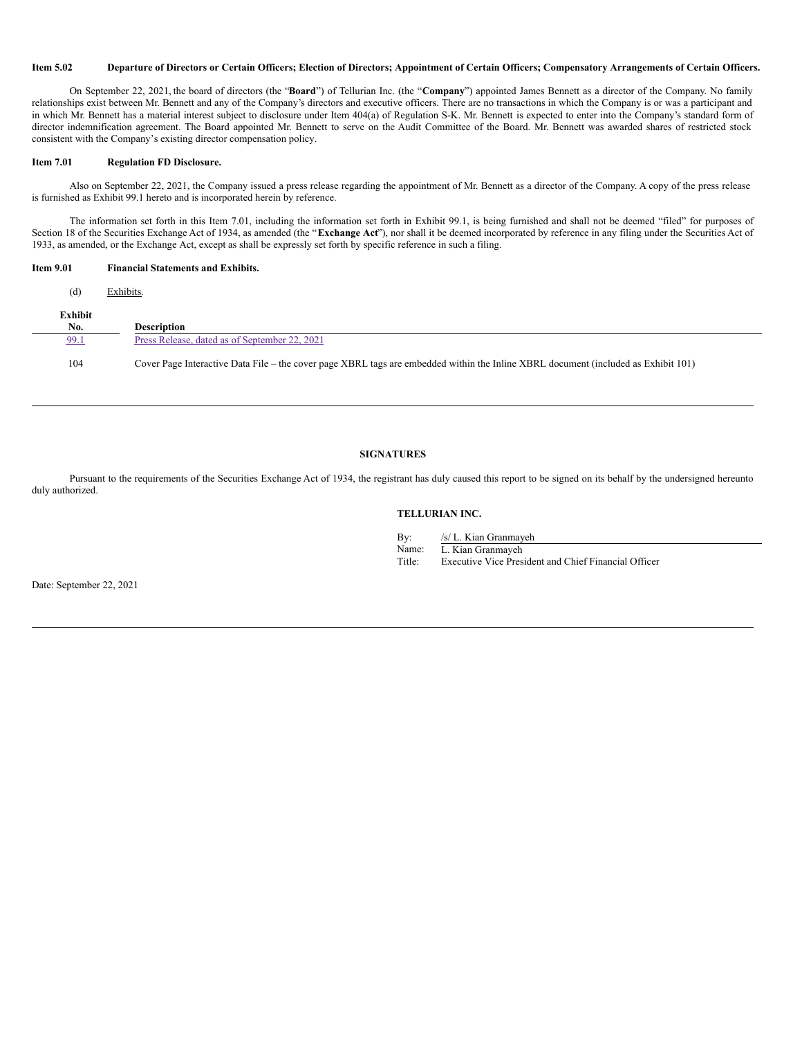### Item 5.02 Departure of Directors or Certain Officers; Election of Directors; Appointment of Certain Officers; Compensatory Arrangements of Certain Officers.

On September 22, 2021, the board of directors (the "**Board**") of Tellurian Inc. (the "**Company**") appointed James Bennett as a director of the Company. No family relationships exist between Mr. Bennett and any of the Company's directors and executive officers. There are no transactions in which the Company is or was a participant and in which Mr. Bennett has a material interest subject to disclosure under Item 404(a) of Regulation S-K. Mr. Bennett is expected to enter into the Company's standard form of director indemnification agreement. The Board appointed Mr. Bennett to serve on the Audit Committee of the Board. Mr. Bennett was awarded shares of restricted stock consistent with the Company's existing director compensation policy.

#### **Item 7.01 Regulation FD Disclosure.**

Also on September 22, 2021, the Company issued a press release regarding the appointment of Mr. Bennett as a director of the Company. A copy of the press release is furnished as Exhibit 99.1 hereto and is incorporated herein by reference.

The information set forth in this Item 7.01, including the information set forth in Exhibit 99.1, is being furnished and shall not be deemed "filed" for purposes of Section 18 of the Securities Exchange Act of 1934, as amended (the "Exchange Act"), nor shall it be deemed incorporated by reference in any filing under the Securities Act of 1933, as amended, or the Exchange Act, except as shall be expressly set forth by specific reference in such a filing.

### **Item 9.01 Financial Statements and Exhibits.**

| (d)            | Exhibits.                                                                                                                          |
|----------------|------------------------------------------------------------------------------------------------------------------------------------|
| Exhibit<br>No. | <b>Description</b>                                                                                                                 |
| 99.1           | Press Release, dated as of September 22, 2021                                                                                      |
| 104            | Cover Page Interactive Data File – the cover page XBRL tags are embedded within the Inline XBRL document (included as Exhibit 101) |

### **SIGNATURES**

Pursuant to the requirements of the Securities Exchange Act of 1934, the registrant has duly caused this report to be signed on its behalf by the undersigned hereunto duly authorized.

## **TELLURIAN INC.**

| By:   | /s/ L. Kian Granmayeh |
|-------|-----------------------|
| Name: | L. Kian Granmayeh     |

Title: Executive Vice President and Chief Financial Officer

Date: September 22, 2021